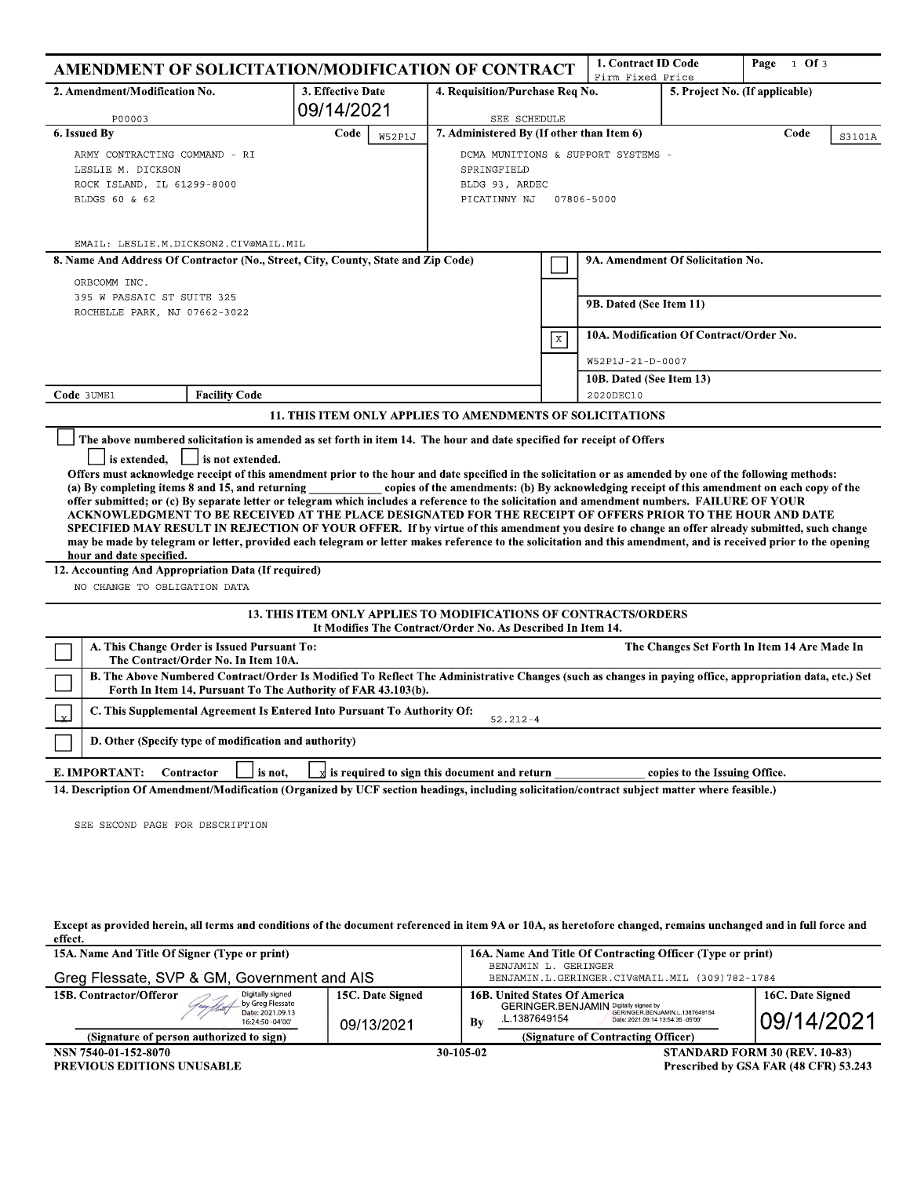|                                                                                                                                            | AMENDMENT OF SOLICITATION/MODIFICATION OF CONTRACT                                                                                                                                                                                                                                                                                                                                                                                                                                                                                                                                                                                                                                                                                                                                                                                                             |                                                                                                                                       |                                                                                                                                                                  |           | 1. Contract ID Code<br>Firm Fixed Price |                                   | Page 1 Of 3                                                                                  |  |
|--------------------------------------------------------------------------------------------------------------------------------------------|----------------------------------------------------------------------------------------------------------------------------------------------------------------------------------------------------------------------------------------------------------------------------------------------------------------------------------------------------------------------------------------------------------------------------------------------------------------------------------------------------------------------------------------------------------------------------------------------------------------------------------------------------------------------------------------------------------------------------------------------------------------------------------------------------------------------------------------------------------------|---------------------------------------------------------------------------------------------------------------------------------------|------------------------------------------------------------------------------------------------------------------------------------------------------------------|-----------|-----------------------------------------|-----------------------------------|----------------------------------------------------------------------------------------------|--|
|                                                                                                                                            | 2. Amendment/Modification No.<br>3. Effective Date<br>4. Requisition/Purchase Req No.<br>09/14/2021                                                                                                                                                                                                                                                                                                                                                                                                                                                                                                                                                                                                                                                                                                                                                            |                                                                                                                                       |                                                                                                                                                                  |           |                                         | 5. Project No. (If applicable)    |                                                                                              |  |
|                                                                                                                                            | P00003                                                                                                                                                                                                                                                                                                                                                                                                                                                                                                                                                                                                                                                                                                                                                                                                                                                         |                                                                                                                                       | SEE SCHEDULE                                                                                                                                                     |           |                                         |                                   |                                                                                              |  |
| 6. Issued By<br>Code<br><b>W52P1J</b><br>ARMY CONTRACTING COMMAND - RI<br>LESLIE M. DICKSON<br>ROCK ISLAND, IL 61299-8000<br>BLDGS 60 & 62 |                                                                                                                                                                                                                                                                                                                                                                                                                                                                                                                                                                                                                                                                                                                                                                                                                                                                |                                                                                                                                       | 7. Administered By (If other than Item 6)<br>Code<br>S3101A<br>DCMA MUNITIONS & SUPPORT SYSTEMS -<br>SPRINGFIELD<br>BLDG 93, ARDEC<br>PICATINNY NJ<br>07806-5000 |           |                                         |                                   |                                                                                              |  |
|                                                                                                                                            | EMAIL: LESLIE.M.DICKSON2.CIV@MAIL.MIL                                                                                                                                                                                                                                                                                                                                                                                                                                                                                                                                                                                                                                                                                                                                                                                                                          |                                                                                                                                       |                                                                                                                                                                  |           |                                         |                                   |                                                                                              |  |
|                                                                                                                                            | 8. Name And Address Of Contractor (No., Street, City, County, State and Zip Code)                                                                                                                                                                                                                                                                                                                                                                                                                                                                                                                                                                                                                                                                                                                                                                              |                                                                                                                                       |                                                                                                                                                                  |           |                                         | 9A. Amendment Of Solicitation No. |                                                                                              |  |
|                                                                                                                                            | ORBCOMM INC.<br>395 W PASSAIC ST SUITE 325<br>ROCHELLE PARK, NJ 07662-3022                                                                                                                                                                                                                                                                                                                                                                                                                                                                                                                                                                                                                                                                                                                                                                                     |                                                                                                                                       |                                                                                                                                                                  |           | 9B. Dated (See Item 11)                 |                                   |                                                                                              |  |
|                                                                                                                                            |                                                                                                                                                                                                                                                                                                                                                                                                                                                                                                                                                                                                                                                                                                                                                                                                                                                                |                                                                                                                                       |                                                                                                                                                                  | X         | 10A. Modification Of Contract/Order No. |                                   |                                                                                              |  |
|                                                                                                                                            |                                                                                                                                                                                                                                                                                                                                                                                                                                                                                                                                                                                                                                                                                                                                                                                                                                                                |                                                                                                                                       |                                                                                                                                                                  |           | W52P1J-21-D-0007                        |                                   |                                                                                              |  |
|                                                                                                                                            |                                                                                                                                                                                                                                                                                                                                                                                                                                                                                                                                                                                                                                                                                                                                                                                                                                                                |                                                                                                                                       |                                                                                                                                                                  |           | 10B. Dated (See Item 13)                |                                   |                                                                                              |  |
| Code 3UME1                                                                                                                                 | <b>Facility Code</b>                                                                                                                                                                                                                                                                                                                                                                                                                                                                                                                                                                                                                                                                                                                                                                                                                                           |                                                                                                                                       |                                                                                                                                                                  | 2020DEC10 |                                         |                                   |                                                                                              |  |
|                                                                                                                                            |                                                                                                                                                                                                                                                                                                                                                                                                                                                                                                                                                                                                                                                                                                                                                                                                                                                                | 11. THIS ITEM ONLY APPLIES TO AMENDMENTS OF SOLICITATIONS                                                                             |                                                                                                                                                                  |           |                                         |                                   |                                                                                              |  |
|                                                                                                                                            | is extended.<br>is not extended.<br>Offers must acknowledge receipt of this amendment prior to the hour and date specified in the solicitation or as amended by one of the following methods:<br>(a) By completing items 8 and 15, and returning<br>offer submitted; or (c) By separate letter or telegram which includes a reference to the solicitation and amendment numbers. FAILURE OF YOUR<br>ACKNOWLEDGMENT TO BE RECEIVED AT THE PLACE DESIGNATED FOR THE RECEIPT OF OFFERS PRIOR TO THE HOUR AND DATE<br>SPECIFIED MAY RESULT IN REJECTION OF YOUR OFFER. If by virtue of this amendment you desire to change an offer already submitted, such change<br>may be made by telegram or letter, provided each telegram or letter makes reference to the solicitation and this amendment, and is received prior to the opening<br>hour and date specified. |                                                                                                                                       |                                                                                                                                                                  |           |                                         |                                   | copies of the amendments: (b) By acknowledging receipt of this amendment on each copy of the |  |
| 12. Accounting And Appropriation Data (If required)                                                                                        |                                                                                                                                                                                                                                                                                                                                                                                                                                                                                                                                                                                                                                                                                                                                                                                                                                                                |                                                                                                                                       |                                                                                                                                                                  |           |                                         |                                   |                                                                                              |  |
|                                                                                                                                            | NO CHANGE TO OBLIGATION DATA                                                                                                                                                                                                                                                                                                                                                                                                                                                                                                                                                                                                                                                                                                                                                                                                                                   |                                                                                                                                       |                                                                                                                                                                  |           |                                         |                                   |                                                                                              |  |
|                                                                                                                                            |                                                                                                                                                                                                                                                                                                                                                                                                                                                                                                                                                                                                                                                                                                                                                                                                                                                                | <b>13. THIS ITEM ONLY APPLIES TO MODIFICATIONS OF CONTRACTS/ORDERS</b><br>It Modifies The Contract/Order No. As Described In Item 14. |                                                                                                                                                                  |           |                                         |                                   |                                                                                              |  |
|                                                                                                                                            | A. This Change Order is Issued Pursuant To:<br>The Contract/Order No. In Item 10A.                                                                                                                                                                                                                                                                                                                                                                                                                                                                                                                                                                                                                                                                                                                                                                             |                                                                                                                                       |                                                                                                                                                                  |           |                                         |                                   | The Changes Set Forth In Item 14 Are Made In                                                 |  |
|                                                                                                                                            | B. The Above Numbered Contract/Order Is Modified To Reflect The Administrative Changes (such as changes in paying office, appropriation data, etc.) Set<br>Forth In Item 14, Pursuant To The Authority of FAR 43.103(b).                                                                                                                                                                                                                                                                                                                                                                                                                                                                                                                                                                                                                                       |                                                                                                                                       |                                                                                                                                                                  |           |                                         |                                   |                                                                                              |  |
| Y.                                                                                                                                         | C. This Supplemental Agreement Is Entered Into Pursuant To Authority Of:                                                                                                                                                                                                                                                                                                                                                                                                                                                                                                                                                                                                                                                                                                                                                                                       |                                                                                                                                       | $52.212 - 4$                                                                                                                                                     |           |                                         |                                   |                                                                                              |  |
|                                                                                                                                            | D. Other (Specify type of modification and authority)                                                                                                                                                                                                                                                                                                                                                                                                                                                                                                                                                                                                                                                                                                                                                                                                          |                                                                                                                                       |                                                                                                                                                                  |           |                                         |                                   |                                                                                              |  |
|                                                                                                                                            | E. IMPORTANT:<br>Contractor<br>is not.                                                                                                                                                                                                                                                                                                                                                                                                                                                                                                                                                                                                                                                                                                                                                                                                                         |                                                                                                                                       | $\vec{X}$ is required to sign this document and return                                                                                                           |           |                                         | copies to the Issuing Office.     |                                                                                              |  |
|                                                                                                                                            | 14. Description Of Amendment/Modification (Organized by UCF section headings, including solicitation/contract subject matter where feasible.)                                                                                                                                                                                                                                                                                                                                                                                                                                                                                                                                                                                                                                                                                                                  |                                                                                                                                       |                                                                                                                                                                  |           |                                         |                                   |                                                                                              |  |
|                                                                                                                                            | SEE SECOND PAGE FOR DESCRIPTION                                                                                                                                                                                                                                                                                                                                                                                                                                                                                                                                                                                                                                                                                                                                                                                                                                |                                                                                                                                       |                                                                                                                                                                  |           |                                         |                                   |                                                                                              |  |

Except as provided herein, all terms and conditions of the document referenced in item 9A or 10A, as heretofore changed, remains unchanged and in full force and effect.

| 15A. Name And Title Of Signer (Type or print)<br>Greg Flessate, SVP & GM, Government and AIS                                                                 |                                | 16A. Name And Title Of Contracting Officer (Type or print)<br>BENJAMIN L. GERINGER<br>BENJAMIN.L.GERINGER.CIV@MAIL.MIL (309)782-1784                                                                                    |                                       |  |  |
|--------------------------------------------------------------------------------------------------------------------------------------------------------------|--------------------------------|-------------------------------------------------------------------------------------------------------------------------------------------------------------------------------------------------------------------------|---------------------------------------|--|--|
| 15B. Contractor/Offeror<br>Digitally signed<br>Aug flat by Greg Flessate<br>Date: 2021.09.13<br>16:24:50 -04'00'<br>(Signature of person authorized to sign) | 15C. Date Signed<br>09/13/2021 | <b>16B. United States Of America</b><br><b>GERINGER BENJAMIN</b> Digitally signed by<br>GERINGER.BENJAMIN.L.1387649154<br>L.1387649154<br>Date: 2021.09.14 13:54:35 -05'00'<br>Βy<br>(Signature of Contracting Officer) | 16C. Date Signed<br>09/14/2021        |  |  |
| NSN 7540-01-152-8070<br><b>PREVIOUS EDITIONS UNUSABLE</b>                                                                                                    |                                | STANDARD FORM 30 (REV. 10-83)<br>30-105-02                                                                                                                                                                              | Prescribed by GSA FAR (48 CFR) 53.243 |  |  |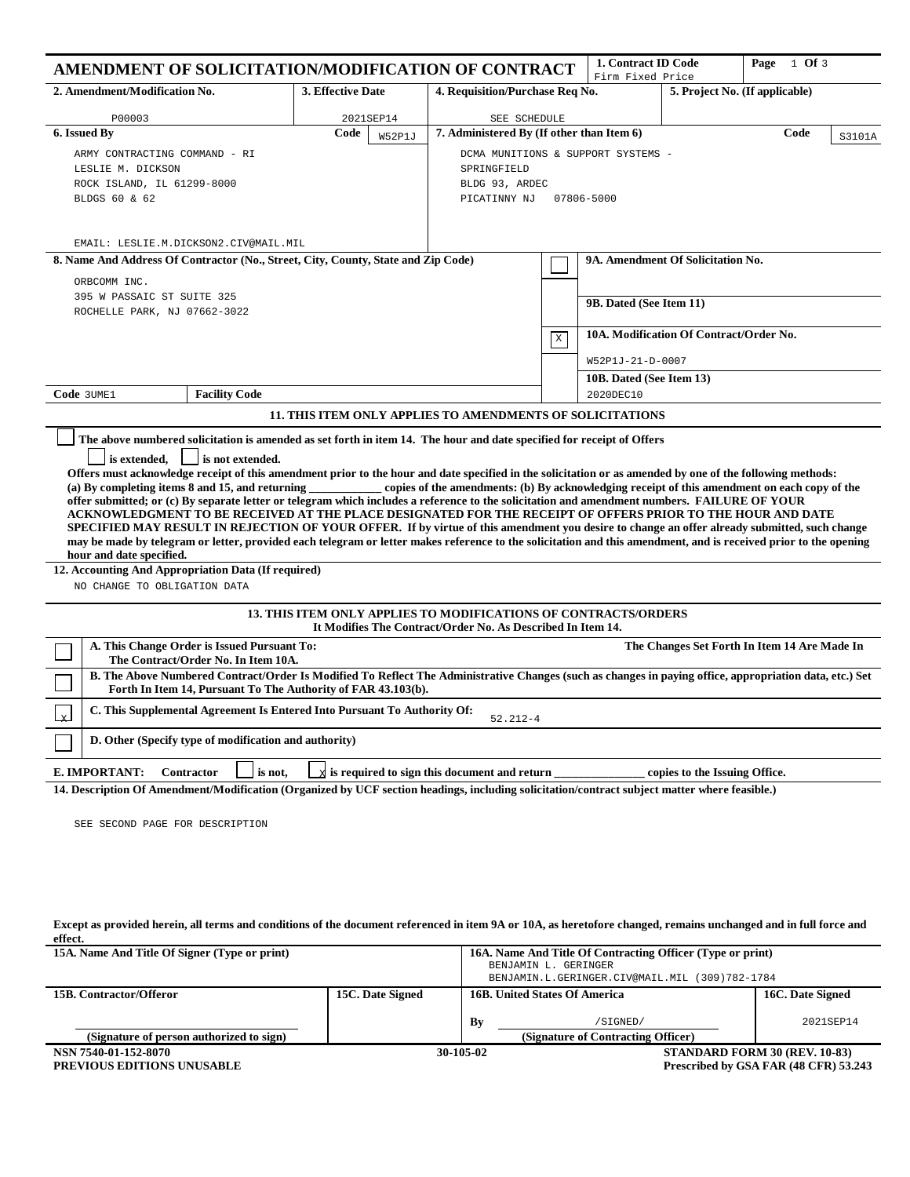| AMENDMENT OF SOLICITATION/MODIFICATION OF CONTRACT                                                                                                                                                                                                                                                               |                                                                  |                                                             | 1. Contract ID Code<br>Firm Fixed Price |                                         | Page $1$ Of 3                  |                                              |  |  |
|------------------------------------------------------------------------------------------------------------------------------------------------------------------------------------------------------------------------------------------------------------------------------------------------------------------|------------------------------------------------------------------|-------------------------------------------------------------|-----------------------------------------|-----------------------------------------|--------------------------------|----------------------------------------------|--|--|
| 2. Amendment/Modification No.                                                                                                                                                                                                                                                                                    | 3. Effective Date                                                | 4. Requisition/Purchase Req No.                             |                                         |                                         | 5. Project No. (If applicable) |                                              |  |  |
| P00003                                                                                                                                                                                                                                                                                                           | 2021SEP14                                                        | SEE SCHEDULE                                                |                                         |                                         |                                |                                              |  |  |
| 6. Issued By                                                                                                                                                                                                                                                                                                     | Code<br>W52P1J                                                   | 7. Administered By (If other than Item 6)<br>Code<br>S3101A |                                         |                                         |                                |                                              |  |  |
| ARMY CONTRACTING COMMAND - RI                                                                                                                                                                                                                                                                                    |                                                                  | DCMA MUNITIONS & SUPPORT SYSTEMS -                          |                                         |                                         |                                |                                              |  |  |
| LESLIE M. DICKSON                                                                                                                                                                                                                                                                                                |                                                                  | SPRINGFIELD                                                 |                                         |                                         |                                |                                              |  |  |
| ROCK ISLAND, IL 61299-8000                                                                                                                                                                                                                                                                                       |                                                                  | BLDG 93, ARDEC                                              |                                         |                                         |                                |                                              |  |  |
| BLDGS 60 & 62                                                                                                                                                                                                                                                                                                    |                                                                  | PICATINNY NJ<br>07806-5000                                  |                                         |                                         |                                |                                              |  |  |
|                                                                                                                                                                                                                                                                                                                  |                                                                  |                                                             |                                         |                                         |                                |                                              |  |  |
| EMAIL: LESLIE.M.DICKSON2.CIV@MAIL.MIL                                                                                                                                                                                                                                                                            |                                                                  |                                                             |                                         |                                         |                                |                                              |  |  |
| 8. Name And Address Of Contractor (No., Street, City, County, State and Zip Code)                                                                                                                                                                                                                                |                                                                  |                                                             |                                         | 9A. Amendment Of Solicitation No.       |                                |                                              |  |  |
| ORBCOMM INC.                                                                                                                                                                                                                                                                                                     |                                                                  |                                                             |                                         |                                         |                                |                                              |  |  |
| 395 W PASSAIC ST SUITE 325                                                                                                                                                                                                                                                                                       |                                                                  |                                                             |                                         |                                         |                                |                                              |  |  |
| ROCHELLE PARK, NJ 07662-3022                                                                                                                                                                                                                                                                                     |                                                                  |                                                             |                                         | 9B. Dated (See Item 11)                 |                                |                                              |  |  |
|                                                                                                                                                                                                                                                                                                                  |                                                                  |                                                             |                                         | 10A. Modification Of Contract/Order No. |                                |                                              |  |  |
|                                                                                                                                                                                                                                                                                                                  |                                                                  |                                                             | $\,$ X                                  |                                         |                                |                                              |  |  |
|                                                                                                                                                                                                                                                                                                                  |                                                                  |                                                             | W52P1J-21-D-0007                        |                                         |                                |                                              |  |  |
|                                                                                                                                                                                                                                                                                                                  |                                                                  | 10B. Dated (See Item 13)                                    |                                         |                                         |                                |                                              |  |  |
| <b>Facility Code</b><br>Code 3UME1                                                                                                                                                                                                                                                                               |                                                                  |                                                             | 2020DEC10                               |                                         |                                |                                              |  |  |
|                                                                                                                                                                                                                                                                                                                  | <b>11. THIS ITEM ONLY APPLIES TO AMENDMENTS OF SOLICITATIONS</b> |                                                             |                                         |                                         |                                |                                              |  |  |
| The above numbered solicitation is amended as set forth in item 14. The hour and date specified for receipt of Offers                                                                                                                                                                                            |                                                                  |                                                             |                                         |                                         |                                |                                              |  |  |
| is extended,<br>is not extended.                                                                                                                                                                                                                                                                                 |                                                                  |                                                             |                                         |                                         |                                |                                              |  |  |
| Offers must acknowledge receipt of this amendment prior to the hour and date specified in the solicitation or as amended by one of the following methods:                                                                                                                                                        |                                                                  |                                                             |                                         |                                         |                                |                                              |  |  |
| (a) By completing items 8 and 15, and returning copies of the amendments: (b) By acknowledging receipt of this amendment on each copy of the                                                                                                                                                                     |                                                                  |                                                             |                                         |                                         |                                |                                              |  |  |
| offer submitted; or (c) By separate letter or telegram which includes a reference to the solicitation and amendment numbers. FAILURE OF YOUR<br>ACKNOWLEDGMENT TO BE RECEIVED AT THE PLACE DESIGNATED FOR THE RECEIPT OF OFFERS PRIOR TO THE HOUR AND DATE                                                       |                                                                  |                                                             |                                         |                                         |                                |                                              |  |  |
|                                                                                                                                                                                                                                                                                                                  |                                                                  |                                                             |                                         |                                         |                                |                                              |  |  |
| SPECIFIED MAY RESULT IN REJECTION OF YOUR OFFER. If by virtue of this amendment you desire to change an offer already submitted, such change<br>may be made by telegram or letter, provided each telegram or letter makes reference to the solicitation and this amendment, and is received prior to the opening |                                                                  |                                                             |                                         |                                         |                                |                                              |  |  |
| hour and date specified.                                                                                                                                                                                                                                                                                         |                                                                  |                                                             |                                         |                                         |                                |                                              |  |  |
| 12. Accounting And Appropriation Data (If required)                                                                                                                                                                                                                                                              |                                                                  |                                                             |                                         |                                         |                                |                                              |  |  |
| NO CHANGE TO OBLIGATION DATA                                                                                                                                                                                                                                                                                     |                                                                  |                                                             |                                         |                                         |                                |                                              |  |  |
| <b>13. THIS ITEM ONLY APPLIES TO MODIFICATIONS OF CONTRACTS/ORDERS</b><br>It Modifies The Contract/Order No. As Described In Item 14.                                                                                                                                                                            |                                                                  |                                                             |                                         |                                         |                                |                                              |  |  |
|                                                                                                                                                                                                                                                                                                                  |                                                                  |                                                             |                                         |                                         |                                |                                              |  |  |
| A. This Change Order is Issued Pursuant To:<br>The Contract/Order No. In Item 10A.                                                                                                                                                                                                                               |                                                                  |                                                             |                                         |                                         |                                | The Changes Set Forth In Item 14 Are Made In |  |  |
| B. The Above Numbered Contract/Order Is Modified To Reflect The Administrative Changes (such as changes in paying office, appropriation data, etc.) Set<br>Forth In Item 14, Pursuant To The Authority of FAR 43.103(b).                                                                                         |                                                                  |                                                             |                                         |                                         |                                |                                              |  |  |
| C. This Supplemental Agreement Is Entered Into Pursuant To Authority Of:<br>$52.212 - 4$                                                                                                                                                                                                                         |                                                                  |                                                             |                                         |                                         |                                |                                              |  |  |
| D. Other (Specify type of modification and authority)                                                                                                                                                                                                                                                            |                                                                  |                                                             |                                         |                                         |                                |                                              |  |  |
| E. IMPORTANT:<br><b>Contractor</b><br>is not,                                                                                                                                                                                                                                                                    | $\mathbf{x}$                                                     | is required to sign this document and return                |                                         |                                         | copies to the Issuing Office.  |                                              |  |  |
| 14. Description Of Amendment/Modification (Organized by UCF section headings, including solicitation/contract subject matter where feasible.)                                                                                                                                                                    |                                                                  |                                                             |                                         |                                         |                                |                                              |  |  |
|                                                                                                                                                                                                                                                                                                                  |                                                                  |                                                             |                                         |                                         |                                |                                              |  |  |

SEE SECOND PAGE FOR DESCRIPTION

## **Except as provided herein, all terms and conditions of the document referenced in item 9A or 10A, as heretofore changed, remains unchanged and in full force and effect.**

| 15A. Name And Title Of Signer (Type or print)             |                  |                                                                                     | 16A. Name And Title Of Contracting Officer (Type or print)<br>BENJAMIN L. GERINGER<br>BENJAMIN.L.GERINGER.CIV@MAIL.MIL (309)782-1784 |  |                  |  |
|-----------------------------------------------------------|------------------|-------------------------------------------------------------------------------------|--------------------------------------------------------------------------------------------------------------------------------------|--|------------------|--|
| 15B. Contractor/Offeror                                   | 15C. Date Signed | <b>16B. United States Of America</b>                                                |                                                                                                                                      |  | 16C. Date Signed |  |
| (Signature of person authorized to sign)                  |                  | By                                                                                  | /SIGNED/<br>(Signature of Contracting Officer)                                                                                       |  | 2021SEP14        |  |
|                                                           |                  |                                                                                     |                                                                                                                                      |  |                  |  |
| NSN 7540-01-152-8070<br><b>PREVIOUS EDITIONS UNUSABLE</b> |                  | 30-105-02<br>STANDARD FORM 30 (REV. 10-83)<br>Prescribed by GSA FAR (48 CFR) 53.243 |                                                                                                                                      |  |                  |  |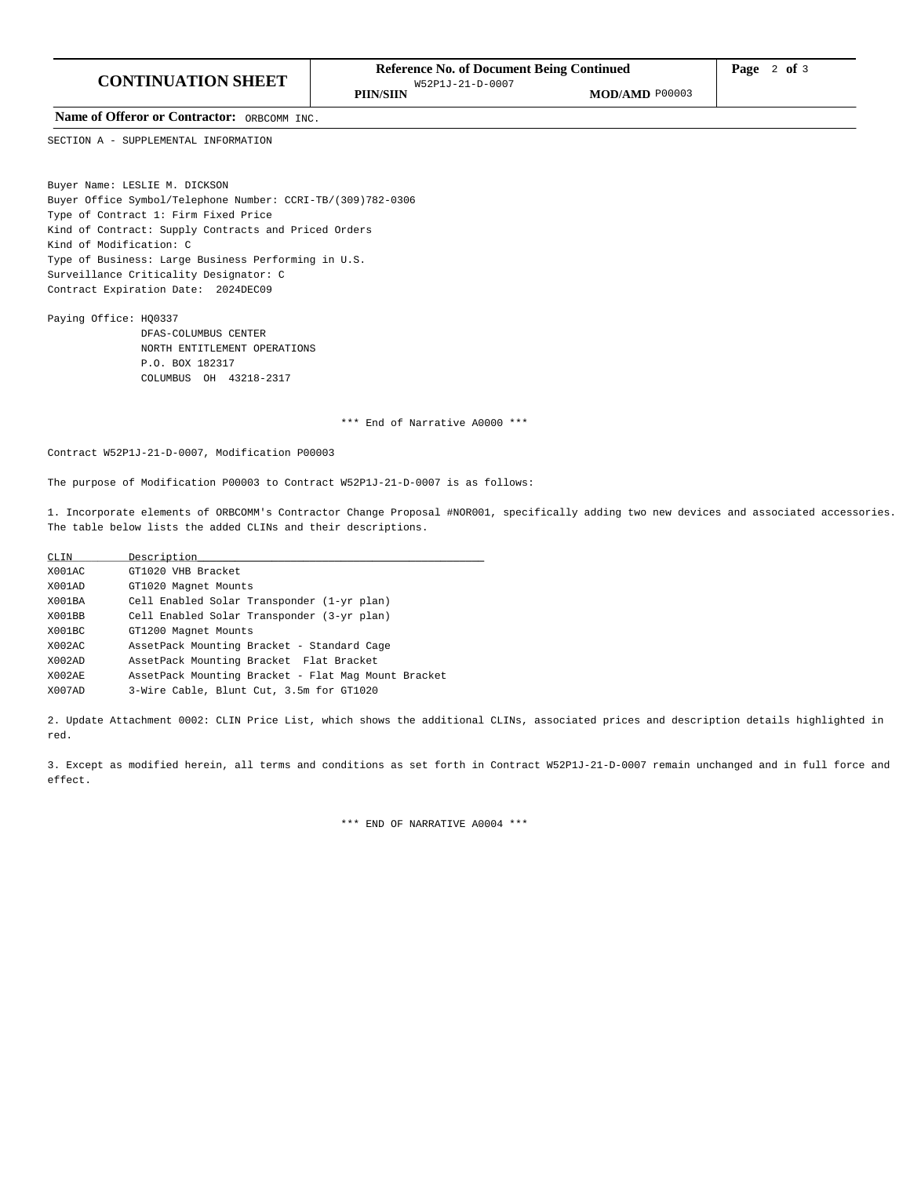Name of Offeror or Contractor: ORBCOMM INC.

SECTION A - SUPPLEMENTAL INFORMATION

Buyer Name: LESLIE M. DICKSON Buyer Office Symbol/Telephone Number: CCRI-TB/(309)782-0306 Type of Contract 1: Firm Fixed Price Kind of Contract: Supply Contracts and Priced Orders Kind of Modification: C Type of Business: Large Business Performing in U.S. Surveillance Criticality Designator: C Contract Expiration Date: 2024DEC09

Paying Office: HQ0337 DFAS-COLUMBUS CENTER NORTH ENTITLEMENT OPERATIONS P.O. BOX 182317 COLUMBUS OH 43218-2317

\*\*\* End of Narrative A0000 \*\*\*

Contract W52P1J-21-D-0007, Modification P00003

The purpose of Modification P00003 to Contract W52P1J-21-D-0007 is as follows:

1. Incorporate elements of ORBCOMM's Contractor Change Proposal #NOR001, specifically adding two new devices and associated accessories. The table below lists the added CLINs and their descriptions.

| CLIN   | Description                                         |
|--------|-----------------------------------------------------|
| X001AC | GT1020 VHB Bracket                                  |
| X001AD | GT1020 Magnet Mounts                                |
| X001BA | Cell Enabled Solar Transponder (1-yr plan)          |
| X001BB | Cell Enabled Solar Transponder (3-yr plan)          |
| X001BC | GT1200 Magnet Mounts                                |
| X002AC | AssetPack Mounting Bracket - Standard Cage          |
| X002AD | AssetPack Mounting Bracket Flat Bracket             |
| X002AE | AssetPack Mounting Bracket - Flat Mag Mount Bracket |
| X007AD | 3-Wire Cable, Blunt Cut, 3.5m for GT1020            |

2. Update Attachment 0002: CLIN Price List, which shows the additional CLINs, associated prices and description details highlighted in red.

3. Except as modified herein, all terms and conditions as set forth in Contract W52P1J-21-D-0007 remain unchanged and in full force and effect.

\*\*\* END OF NARRATIVE A0004 \*\*\*